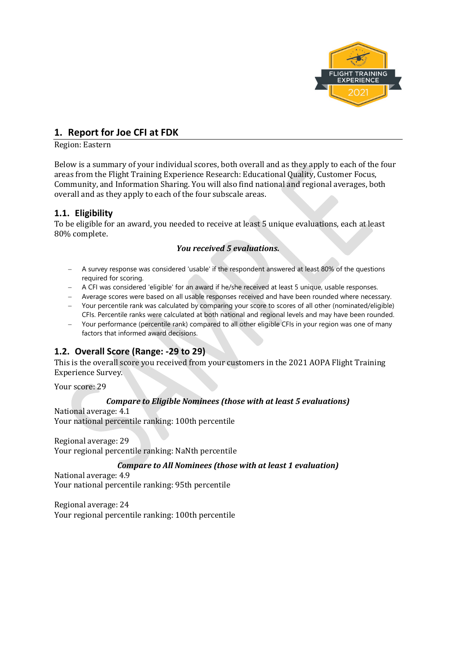

## **1. Report for Joe CFI at FDK**

#### Region: Eastern

Below is a summary of your individual scores, both overall and as they apply to each of the four areas from the Flight Training Experience Research: Educational Quality, Customer Focus, Community, and Information Sharing. You will also find national and regional averages, both overall and as they apply to each of the four subscale areas.

## **1.1. Eligibility**

To be eligible for an award, you needed to receive at least 5 unique evaluations, each at least 80% complete.

## *You received 5 evaluations.*

- − A survey response was considered 'usable' if the respondent answered at least 80% of the questions required for scoring.
- − A CFI was considered 'eligible' for an award if he/she received at least 5 unique, usable responses.
- − Average scores were based on all usable responses received and have been rounded where necessary.
- − Your percentile rank was calculated by comparing your score to scores of all other (nominated/eligible) CFIs. Percentile ranks were calculated at both national and regional levels and may have been rounded.
- − Your performance (percentile rank) compared to all other eligible CFIs in your region was one of many factors that informed award decisions.

## **1.2. Overall Score (Range: -29 to 29)**

This is the overall score you received from your customers in the 2021 AOPA Flight Training Experience Survey.

Your score: 29

## *Compare to Eligible Nominees (those with at least 5 evaluations)*

National average: 4.1 Your national percentile ranking: 100th percentile

Regional average: 29 Your regional percentile ranking: NaNth percentile

## *Compare to All Nominees (those with at least 1 evaluation)*

National average: 4.9 Your national percentile ranking: 95th percentile

Regional average: 24 Your regional percentile ranking: 100th percentile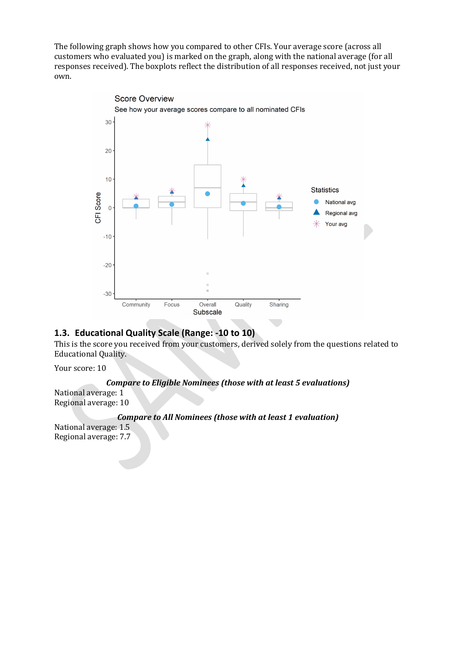The following graph shows how you compared to other CFIs. Your average score (across all customers who evaluated you) is marked on the graph, along with the national average (for all responses received). The boxplots reflect the distribution of all responses received, not just your own.



## **1.3. Educational Quality Scale (Range: -10 to 10)**

This is the score you received from your customers, derived solely from the questions related to Educational Quality.

Your score: 10

## *Compare to Eligible Nominees (those with at least 5 evaluations)*

National average: 1 Regional average: 10

#### *Compare to All Nominees (those with at least 1 evaluation)*

National average: 1.5 Regional average: 7.7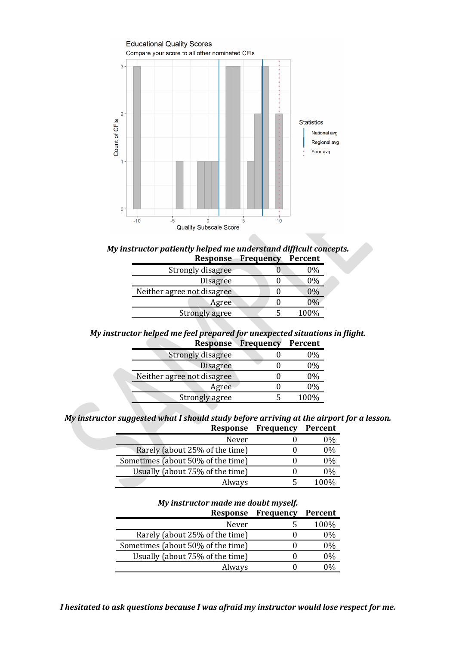

*My instructor patiently helped me understand difficult concepts.* **Response Frequency Percent**

| Strongly disagree          | 0%               |
|----------------------------|------------------|
| <b>Disagree</b>            | 0%               |
| Neither agree not disagree | $1\frac{10}{10}$ |
| Agree                      | 190 <sub>h</sub> |
| Strongly agree             | 100%             |
|                            |                  |

*My instructor helped me feel prepared for unexpected situations in flight.*

| <b>Response</b>            | Frequency | <b>Percent</b> |
|----------------------------|-----------|----------------|
| Strongly disagree          |           | $0\%$          |
| <b>Disagree</b>            |           | $0\%$          |
| Neither agree not disagree |           | $0\%$          |
| Agree                      |           | $0\%$          |
| Strongly agree             |           | 100%           |
|                            |           |                |

*My instructor suggested what I should study before arriving at the airport for a lesson.* **Response Frequency Percent**

| Never                             | 0%    |
|-----------------------------------|-------|
| Rarely (about 25% of the time)    | 0%    |
| Sometimes (about 50% of the time) | 0%    |
| Usually (about 75% of the time)   | $0\%$ |
| Always                            | 100%  |
|                                   |       |

*My instructor made me doubt myself.*

| Response                          | Frequency | <b>Percent</b> |
|-----------------------------------|-----------|----------------|
| Never                             |           | 100%           |
| Rarely (about 25% of the time)    |           | 0%             |
| Sometimes (about 50% of the time) |           | $0\%$          |
| Usually (about 75% of the time)   |           | 0%             |
| Always                            |           |                |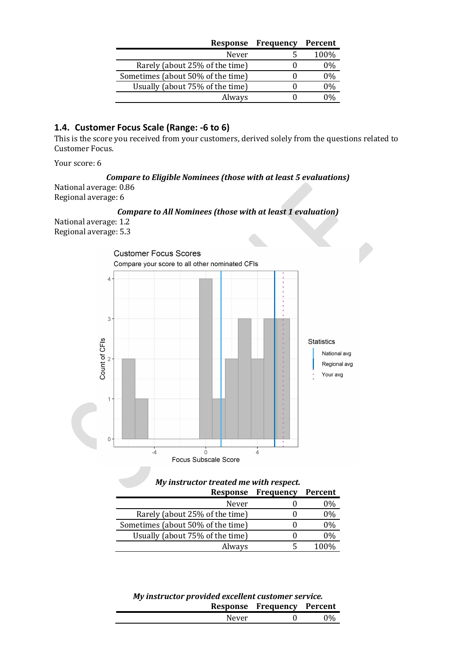| Response                          | <b>Frequency</b> | Percent |
|-----------------------------------|------------------|---------|
| Never                             |                  | 100%    |
| Rarely (about 25% of the time)    |                  | $0\%$   |
| Sometimes (about 50% of the time) |                  | $0\%$   |
| Usually (about 75% of the time)   |                  | $0\%$   |
| Always                            |                  |         |

## **1.4. Customer Focus Scale (Range: -6 to 6)**

This is the score you received from your customers, derived solely from the questions related to Customer Focus.

Your score: 6

## *Compare to Eligible Nominees (those with at least 5 evaluations)*

National average: 0.86 Regional average: 6

## *Compare to All Nominees (those with at least 1 evaluation)*

National average: 1.2 Regional average: 5.3



# *My instructor treated me with respect.*

| Response                          | <b>Frequency</b> | Percent |
|-----------------------------------|------------------|---------|
| Never                             |                  | 0%      |
| Rarely (about 25% of the time)    |                  | 0%      |
| Sometimes (about 50% of the time) |                  | $0\%$   |
| Usually (about 75% of the time)   |                  | $0\%$   |
| Always                            |                  | 100\%   |

#### *My instructor provided excellent customer service.* **Response Frequency Percent**

|  | Response ricquelly | I CLUCIIL |
|--|--------------------|-----------|
|  |                    |           |
|  |                    |           |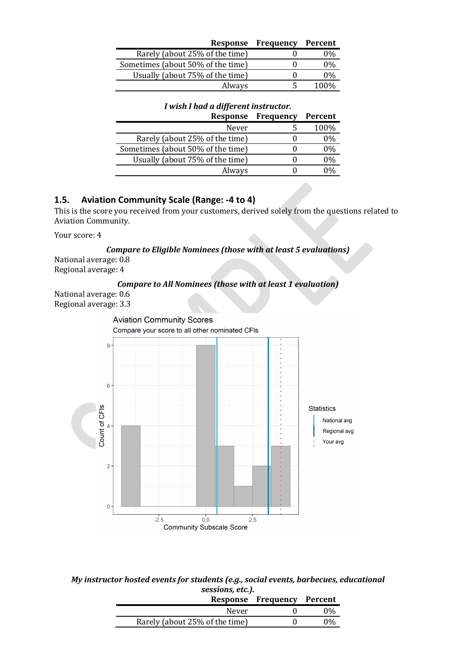| Response                          | <b>Frequency</b> | Percent |
|-----------------------------------|------------------|---------|
| Rarely (about 25% of the time)    |                  | ባ%      |
| Sometimes (about 50% of the time) |                  | 0%      |
| Usually (about 75% of the time)   |                  | በ%      |
| Always                            |                  | 100%    |

## *I wish I had a different instructor.*

| Response                          | <b>Frequency</b> | <b>Percent</b> |
|-----------------------------------|------------------|----------------|
| Never                             |                  | 100%           |
| Rarely (about 25% of the time)    |                  | $0\%$          |
| Sometimes (about 50% of the time) |                  | 0%             |
| Usually (about 75% of the time)   |                  | 0%             |
| Always                            |                  |                |

## **1.5. Aviation Community Scale (Range: -4 to 4)**

This is the score you received from your customers, derived solely from the questions related to Aviation Community.

Your score: 4

*Compare to Eligible Nominees (those with at least 5 evaluations)* National average: 0.8

Regional average: 4

*Compare to All Nominees (those with at least 1 evaluation)*

National average: 0.6 Regional average: 3.3



## *My instructor hosted events for students (e.g., social events, barbecues, educational sessions, etc.).*

|                                | Response Frequency Percent |       |
|--------------------------------|----------------------------|-------|
| Never                          |                            | 0%    |
| Rarely (about 25% of the time) |                            | $0\%$ |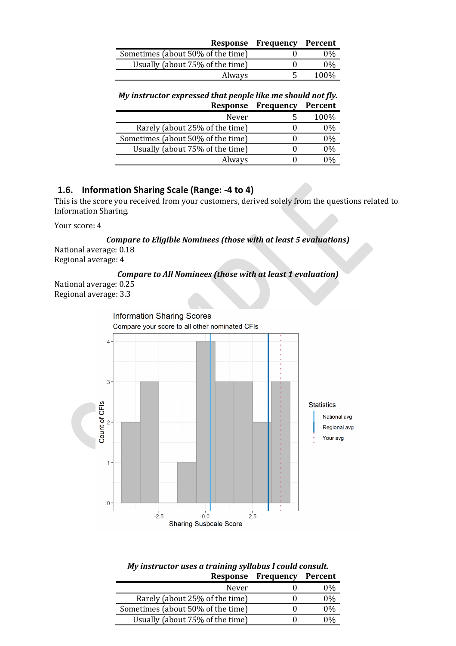|                                   | <b>Response Frequency Percent</b> |       |
|-----------------------------------|-----------------------------------|-------|
| Sometimes (about 50% of the time) |                                   | $0\%$ |
| Usually (about 75% of the time)   |                                   | $0\%$ |
| Always                            |                                   | 100%  |

#### *My instructor expressed that people like me should not fly.* **Response Frequency Percent**

| Never                             | 100\% |
|-----------------------------------|-------|
| Rarely (about 25% of the time)    | 0%    |
| Sometimes (about 50% of the time) | 0%    |
| Usually (about 75% of the time)   | 0%    |
| Always                            |       |
|                                   |       |

## **1.6. Information Sharing Scale (Range: -4 to 4)**

This is the score you received from your customers, derived solely from the questions related to Information Sharing.

Your score: 4

*Compare to Eligible Nominees (those with at least 5 evaluations)* National average: 0.18

Regional average: 4

## *Compare to All Nominees (those with at least 1 evaluation)*

National average: 0.25 Regional average: 3.3



#### *My instructor uses a training syllabus I could consult.* **Response Frequency Percent**

|                                   | $1.000$ $0.100$ $1.000$ $0.010$ | $\sim$ 0.000 $\sim$ |
|-----------------------------------|---------------------------------|---------------------|
| Never                             |                                 | 9%                  |
| Rarely (about 25% of the time)    |                                 | 0%                  |
| Sometimes (about 50% of the time) |                                 | 0%                  |
| Usually (about 75% of the time)   |                                 | ገ%                  |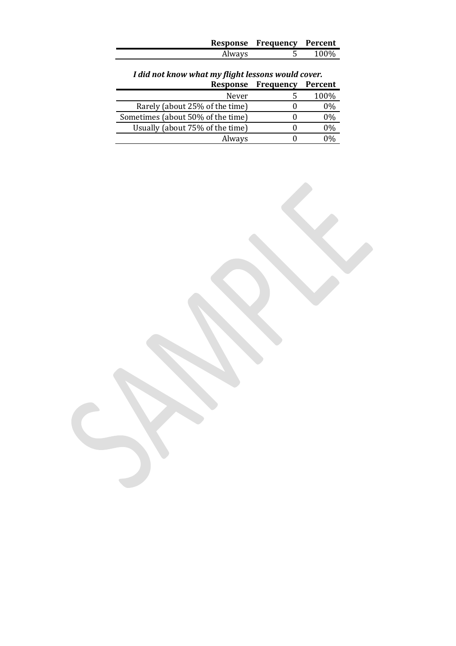| Always | 100%                       |
|--------|----------------------------|
|        | Response Frequency Percent |

## *I did not know what my flight lessons would cover.* **Response Frequency Percent**

| Never                             | 100\% |
|-----------------------------------|-------|
| Rarely (about 25% of the time)    | 0%    |
| Sometimes (about 50% of the time) | በ%    |
| Usually (about 75% of the time)   | ባ%    |
| Always                            |       |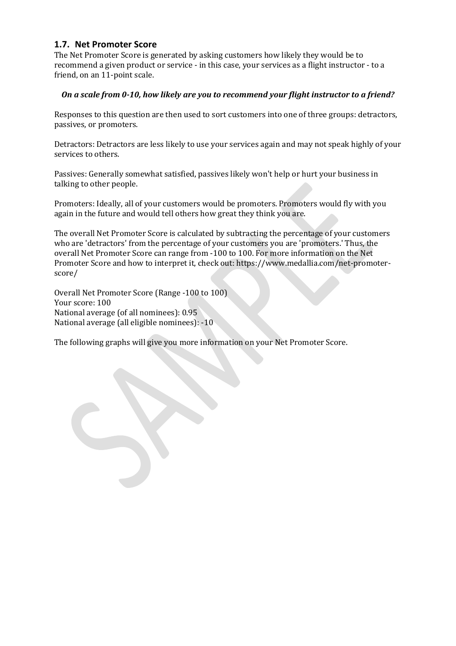## **1.7. Net Promoter Score**

The Net Promoter Score is generated by asking customers how likely they would be to recommend a given product or service - in this case, your services as a flight instructor - to a friend, on an 11-point scale.

## *On a scale from 0-10, how likely are you to recommend your flight instructor to a friend?*

Responses to this question are then used to sort customers into one of three groups: detractors, passives, or promoters.

Detractors: Detractors are less likely to use your services again and may not speak highly of your services to others.

Passives: Generally somewhat satisfied, passives likely won't help or hurt your business in talking to other people.

Promoters: Ideally, all of your customers would be promoters. Promoters would fly with you again in the future and would tell others how great they think you are.

The overall Net Promoter Score is calculated by subtracting the percentage of your customers who are 'detractors' from the percentage of your customers you are 'promoters.' Thus, the overall Net Promoter Score can range from -100 to 100. For more information on the Net Promoter Score and how to interpret it, check out: https://www.medallia.com/net-promoterscore/

Overall Net Promoter Score (Range -100 to 100) Your score: 100 National average (of all nominees): 0.95 National average (all eligible nominees): -10

The following graphs will give you more information on your Net Promoter Score.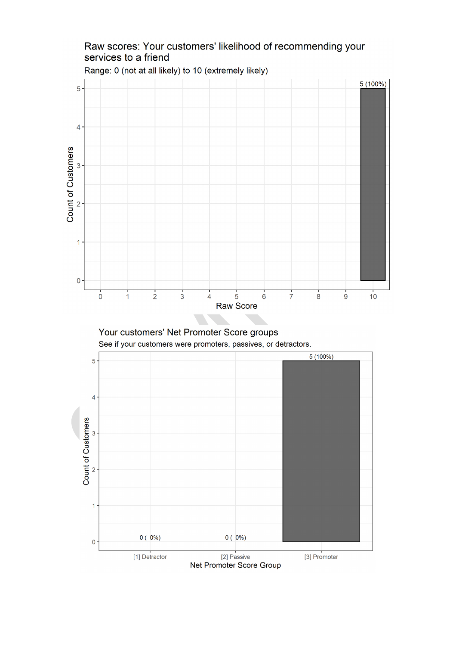



## Raw scores: Your customers' likelihood of recommending your services to a friend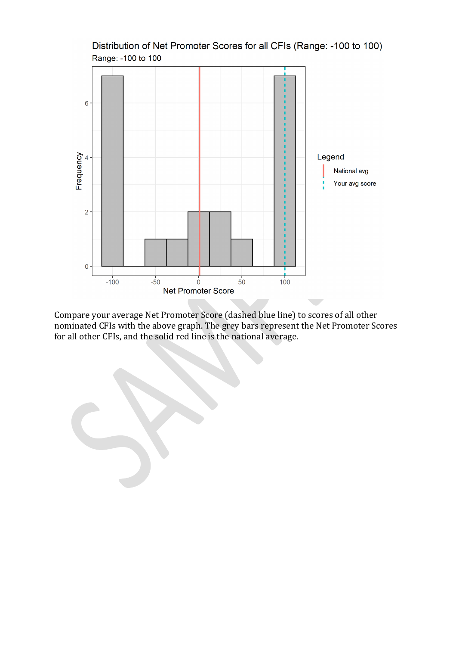

Distribution of Net Promoter Scores for all CFIs (Range: -100 to 100) Range: -100 to 100

Compare your average Net Promoter Score (dashed blue line) to scores of all other nominated CFIs with the above graph. The grey bars represent the Net Promoter Scores for all other CFIs, and the solid red line is the national average.